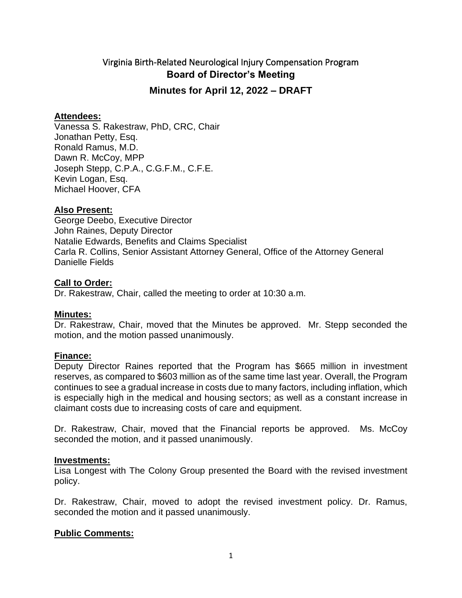# Virginia Birth-Related Neurological Injury Compensation Program **Board of Director's Meeting Minutes for April 12, 2022 – DRAFT**

#### **Attendees:**

Vanessa S. Rakestraw, PhD, CRC, Chair Jonathan Petty, Esq. Ronald Ramus, M.D. Dawn R. McCoy, MPP Joseph Stepp, C.P.A., C.G.F.M., C.F.E. Kevin Logan, Esq. Michael Hoover, CFA

#### **Also Present:**

George Deebo, Executive Director John Raines, Deputy Director Natalie Edwards, Benefits and Claims Specialist Carla R. Collins, Senior Assistant Attorney General, Office of the Attorney General Danielle Fields

#### **Call to Order:**

Dr. Rakestraw, Chair, called the meeting to order at 10:30 a.m.

#### **Minutes:**

Dr. Rakestraw, Chair, moved that the Minutes be approved. Mr. Stepp seconded the motion, and the motion passed unanimously.

#### **Finance:**

Deputy Director Raines reported that the Program has \$665 million in investment reserves, as compared to \$603 million as of the same time last year. Overall, the Program continues to see a gradual increase in costs due to many factors, including inflation, which is especially high in the medical and housing sectors; as well as a constant increase in claimant costs due to increasing costs of care and equipment.

Dr. Rakestraw, Chair, moved that the Financial reports be approved. Ms. McCoy seconded the motion, and it passed unanimously.

#### **Investments:**

Lisa Longest with The Colony Group presented the Board with the revised investment policy.

Dr. Rakestraw, Chair, moved to adopt the revised investment policy. Dr. Ramus, seconded the motion and it passed unanimously.

#### **Public Comments:**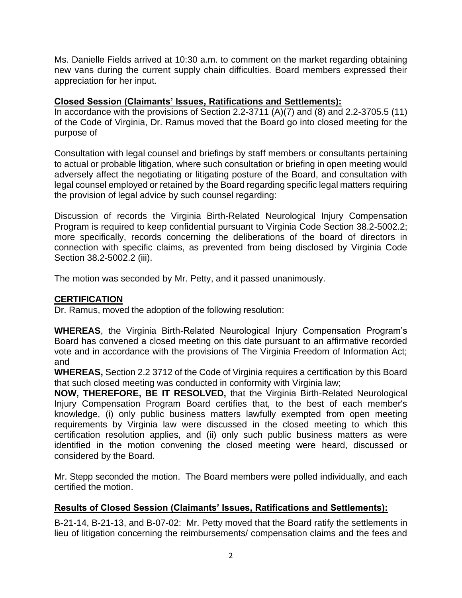Ms. Danielle Fields arrived at 10:30 a.m. to comment on the market regarding obtaining new vans during the current supply chain difficulties. Board members expressed their appreciation for her input.

# **Closed Session (Claimants' Issues, Ratifications and Settlements):**

In accordance with the provisions of Section 2.2-3711  $(A)(7)$  and  $(8)$  and 2.2-3705.5 (11) of the Code of Virginia, Dr. Ramus moved that the Board go into closed meeting for the purpose of

Consultation with legal counsel and briefings by staff members or consultants pertaining to actual or probable litigation, where such consultation or briefing in open meeting would adversely affect the negotiating or litigating posture of the Board, and consultation with legal counsel employed or retained by the Board regarding specific legal matters requiring the provision of legal advice by such counsel regarding:

Discussion of records the Virginia Birth-Related Neurological Injury Compensation Program is required to keep confidential pursuant to Virginia Code Section 38.2-5002.2; more specifically, records concerning the deliberations of the board of directors in connection with specific claims, as prevented from being disclosed by Virginia Code Section 38.2-5002.2 (iii).

The motion was seconded by Mr. Petty, and it passed unanimously.

# **CERTIFICATION**

Dr. Ramus, moved the adoption of the following resolution:

**WHEREAS**, the Virginia Birth-Related Neurological Injury Compensation Program's Board has convened a closed meeting on this date pursuant to an affirmative recorded vote and in accordance with the provisions of The Virginia Freedom of Information Act; and

**WHEREAS,** Section 2.2 3712 of the Code of Virginia requires a certification by this Board that such closed meeting was conducted in conformity with Virginia law;

**NOW, THEREFORE, BE IT RESOLVED,** that the Virginia Birth-Related Neurological Injury Compensation Program Board certifies that, to the best of each member's knowledge, (i) only public business matters lawfully exempted from open meeting requirements by Virginia law were discussed in the closed meeting to which this certification resolution applies, and (ii) only such public business matters as were identified in the motion convening the closed meeting were heard, discussed or considered by the Board.

Mr. Stepp seconded the motion. The Board members were polled individually, and each certified the motion.

# **Results of Closed Session (Claimants' Issues, Ratifications and Settlements):**

B-21-14, B-21-13, and B-07-02: Mr. Petty moved that the Board ratify the settlements in lieu of litigation concerning the reimbursements/ compensation claims and the fees and